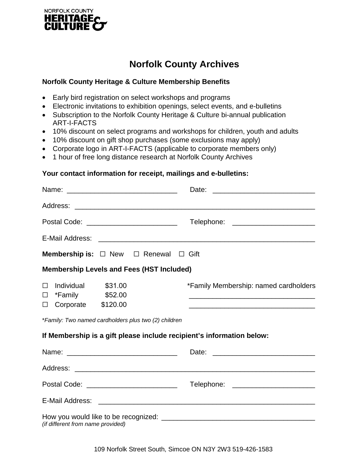

## **Norfolk County Archives**

## **Norfolk County Heritage & Culture Membership Benefits**

- Early bird registration on select workshops and programs
- Electronic invitations to exhibition openings, select events, and e-bulletins
- Subscription to the Norfolk County Heritage & Culture bi-annual publication ART-I-FACTS
- 10% discount on select programs and workshops for children, youth and adults
- 10% discount on gift shop purchases (some exclusions may apply)
- Corporate logo in ART-I-FACTS (applicable to corporate members only)
- 1 hour of free long distance research at Norfolk County Archives

## **Your contact information for receipt, mailings and e-bulletins:**

|                                                                                                                                                        | Date:                                                                                                                                                                                                                                                                                  |
|--------------------------------------------------------------------------------------------------------------------------------------------------------|----------------------------------------------------------------------------------------------------------------------------------------------------------------------------------------------------------------------------------------------------------------------------------------|
|                                                                                                                                                        |                                                                                                                                                                                                                                                                                        |
| Postal Code: ____________________________                                                                                                              | Telephone: _________________________                                                                                                                                                                                                                                                   |
|                                                                                                                                                        |                                                                                                                                                                                                                                                                                        |
| <b>Membership is:</b> $\Box$ New $\Box$ Renewal $\Box$ Gift                                                                                            |                                                                                                                                                                                                                                                                                        |
| <b>Membership Levels and Fees (HST Included)</b>                                                                                                       |                                                                                                                                                                                                                                                                                        |
| <b>Individual</b><br>\$31.00<br>$\Box$<br>*Family \$52.00<br>П<br>Corporate \$120.00<br>$\Box$<br>*Family: Two named cardholders plus two (2) children | *Family Membership: named cardholders<br><u> 1989 - Johann Stoff, deutscher Stoff, der Stoff, der Stoff, der Stoff, der Stoff, der Stoff, der Stoff, der S</u><br><u> 1989 - Johann Stein, marwolaethau a bhann an t-Amhair an t-Amhair an t-Amhair an t-Amhair an t-Amhair an t-A</u> |
| If Membership is a gift please include recipient's information below:                                                                                  |                                                                                                                                                                                                                                                                                        |
|                                                                                                                                                        |                                                                                                                                                                                                                                                                                        |
| Postal Code: _____________________________                                                                                                             | Telephone: _________________________                                                                                                                                                                                                                                                   |
| E-Mail Address:                                                                                                                                        |                                                                                                                                                                                                                                                                                        |
| (if different from name provided)                                                                                                                      |                                                                                                                                                                                                                                                                                        |